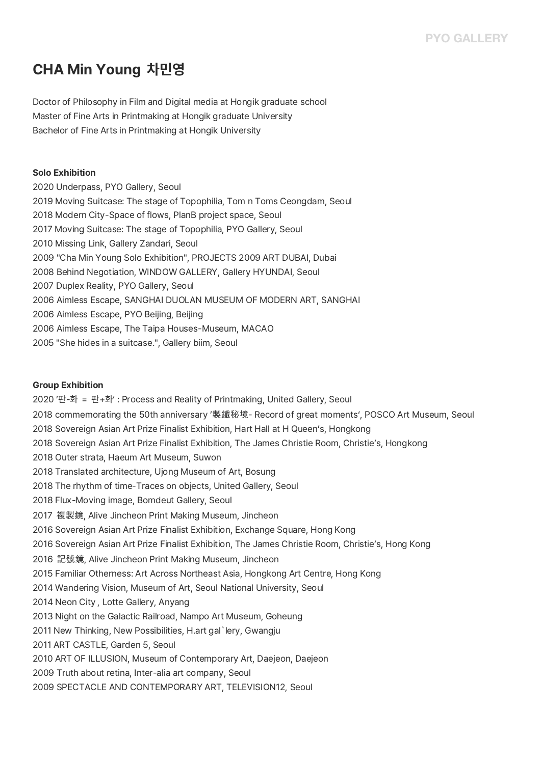# **CHA Min Young 차민영**

Doctor of Philosophy in Film and Digital media at Hongik graduate school Master of Fine Arts in Printmaking at Hongik graduate University Bachelor of Fine Arts in Printmaking at Hongik University

### **Solo Exhibition**

2020 Underpass, PYO Gallery, Seoul 2019 Moving Suitcase: The stage of Topophilia, Tom n Toms Ceongdam, Seoul 2018 Modern City-Space of flows, PlanB project space, Seoul 2017 Moving Suitcase: The stage of Topophilia, PYO Gallery, Seoul 2010 Missing Link, Gallery Zandari, Seoul 2009 "Cha Min Young Solo Exhibition", PROJECTS 2009 ART DUBAI, Dubai 2008 Behind Negotiation, WINDOW GALLERY, Gallery HYUNDAI, Seoul 2007 Duplex Reality, PYO Gallery, Seoul 2006 Aimless Escape, SANGHAI DUOLAN MUSEUM OF MODERN ART, SANGHAI 2006 Aimless Escape, PYO Beijing, Beijing 2006 Aimless Escape, The Taipa Houses-Museum, MACAO 2005 "She hides in a suitcase.", Gallery biim, Seoul

### **Group Exhibition**

2020 '판-화 = 판+화' : Process and Reality of Printmaking, United Gallery, Seoul 2018 commemorating the 50th anniversary '製鐵秘境- Record of great moments', POSCO Art Museum, Seoul 2018 Sovereign Asian Art Prize Finalist Exhibition, Hart Hall at H Queen's, Hongkong 2018 Sovereign Asian Art Prize Finalist Exhibition, The James Christie Room, Christie's, Hongkong 2018 Outer strata, Haeum Art Museum, Suwon 2018 Translated architecture, Ujong Museum of Art, Bosung 2018 The rhythm of time-Traces on objects, United Gallery, Seoul 2018 Flux-Moving image, Bomdeut Gallery, Seoul 2017 複製鏡, Alive Jincheon Print Making Museum, Jincheon 2016 Sovereign Asian Art Prize Finalist Exhibition, Exchange Square, Hong Kong 2016 Sovereign Asian Art Prize Finalist Exhibition, The James Christie Room, Christie's, Hong Kong 2016 記號鏡, Alive Jincheon Print Making Museum, Jincheon 2015 Familiar Otherness: Art Across Northeast Asia, Hongkong Art Centre, Hong Kong 2014 Wandering Vision, Museum of Art, Seoul National University, Seoul 2014 Neon City , Lotte Gallery, Anyang 2013 Night on the Galactic Railroad, Nampo Art Museum, Goheung 2011 New Thinking, New Possibilities, H.art gal`lery, Gwangju 2011 ART CASTLE, Garden 5, Seoul 2010 ART OF ILLUSION, Museum of Contemporary Art, Daejeon, Daejeon 2009 Truth about retina, Inter-alia art company, Seoul 2009 SPECTACLE AND CONTEMPORARY ART, TELEVISION12, Seoul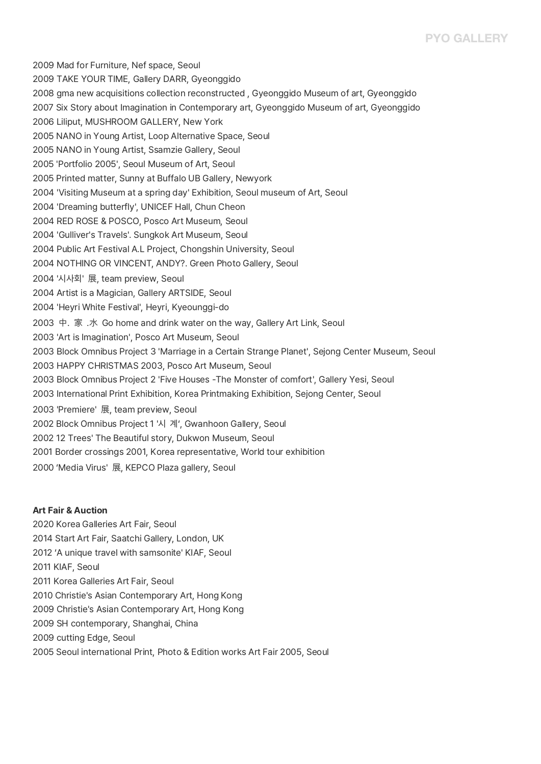## **PYO GALLERY**

2009 Mad for Furniture, Nef space, Seoul 2009 TAKE YOUR TIME, Gallery DARR, Gyeonggido 2008 gma new acquisitions collection reconstructed , Gyeonggido Museum of art, Gyeonggido 2007 Six Story about Imagination in Contemporary art, Gyeonggido Museum of art, Gyeonggido 2006 Liliput, MUSHROOM GALLERY, New York 2005 NANO in Young Artist, Loop Alternative Space, Seoul 2005 NANO in Young Artist, Ssamzie Gallery, Seoul <sup>2005</sup>'Portfolio 2005', Seoul Museum of Art, Seoul 2005 Printed matter, Sunny at Buffalo UB Gallery, Newyork 2005 Printed matter, Sunny at Buffalo UB Gallery, Newyork<br>2004 'Visiting Museum at a spring day' Exhibition, Seoul museum of Art, Seoul word and the Davis Cool 2004.<br>2004 'Dreaming butterfly', UNICEF Hall, Chun Cheon<br>2004 'Dreaming butterfly', UNICEF Hall, Chun Cheon 2004 RED ROSE & POSCO, Posco Art Museum, Seoul<br>2004 'Gulliver's Travels'. Sungkok Art Museum, Seoul 2004 Public Art Festival A.L Project, Chongshin University, Seoul 2004 NOTHING OR VINCENT, ANDY?. Green Photo Gallery, Seoul<br>2004 '시사회' 展, team preview, Seoul 2004 Artist is a Magician, Gallery ARTSIDE, Seoul<br>2004 'Heyri White Festival', Heyri, Kyeounggi-do 2003 中. 家 .水 Go home and drink water on the way, Gallery Art Link, Seoul<br>2003 'Art is Imagination', Posco Art Museum, Seoul 2003 'Art is Imagination', Posco Art Museum, Seoul<br>2003 Block Omnibus Project 3 'Marriage in a Certain Strange Planet', Sejong Center Museum, Seoul 2003 HAPPY CHRISTMAS 2003, Posco Art Museum, Seoul 2003 Block Omnibus Project 2 'Five Houses -The Monster of comfort', Gallery Yesi, Seoul 2003 International Print Exhibition, Korea Printmaking Exhibition, Sejong Center, Seoul <sup>2003</sup>'Premiere' <sup>展</sup>, team preview, Seoul 2003 'Premiere' 展, team preview, Seoul<br>2002 Block Omnibus Project 1 '시 계', Gwanhoon Gallery, Seoul 2002 Block Omnibus Project 1 '시 계', Gwanhoon Gallery, Se<br>2002 12 Trees' The Beautiful story, Dukwon Museum, Seoul 2001 Border crossings 2001, Korea representative, World tour exhibition<br>2000 'Media Virus' 展, KEPCO Plaza gallery, Seoul

### **Art Fair & Auction**

2020 Korea Galleries Art Fair, Seoul 2014 Start Art Fair, Saatchi Gallery, London, UK 2012 'A unique travel with samsonite' KIAF, Seoul 2011 KIAF, Seoul 2011 Korea Galleries Art Fair, Seoul 2010 Christie's Asian Contemporary Art, Hong Kong 2009 Christie's Asian Contemporary Art, Hong Kong 2009 SH contemporary, Shanghai, China 2009 cutting Edge, Seoul 2005 Seoul international Print, Photo & Edition works Art Fair 2005, Seoul